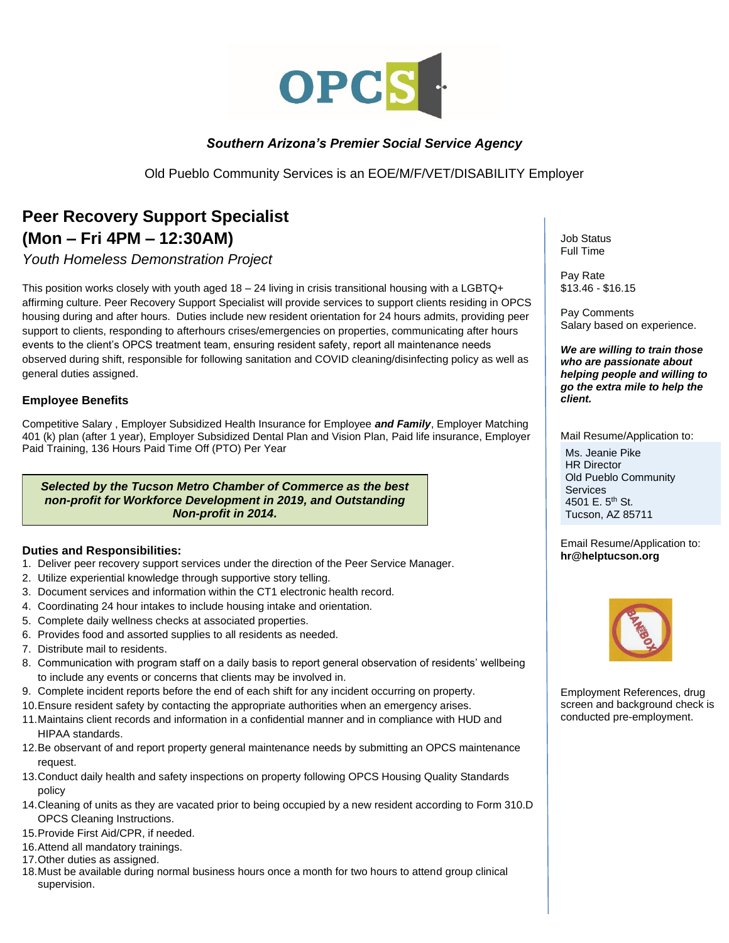

## *Southern Arizona's Premier Social Service Agency*

Old Pueblo Community Services is an EOE/M/F/VET/DISABILITY Employer

## **Peer Recovery Support Specialist (Mon – Fri 4PM – 12:30AM)**

*Youth Homeless Demonstration Project*

This position works closely with youth aged 18 – 24 living in crisis transitional housing with a LGBTQ+ affirming culture. Peer Recovery Support Specialist will provide services to support clients residing in OPCS housing during and after hours. Duties include new resident orientation for 24 hours admits, providing peer support to clients, responding to afterhours crises/emergencies on properties, communicating after hours events to the client's OPCS treatment team, ensuring resident safety, report all maintenance needs observed during shift, responsible for following sanitation and COVID cleaning/disinfecting policy as well as general duties assigned.

## **Employee Benefits**

Competitive Salary , Employer Subsidized Health Insurance for Employee *and Family*, Employer Matching 401 (k) plan (after 1 year), Employer Subsidized Dental Plan and Vision Plan, Paid life insurance, Employer Paid Training, 136 Hours Paid Time Off (PTO) Per Year

*Selected by the Tucson Metro Chamber of Commerce as the best non-profit for Workforce Development in 2019, and Outstanding Non-profit in 2014.*

## **Duties and Responsibilities:**

- 1. Deliver peer recovery support services under the direction of the Peer Service Manager.
- 2. Utilize experiential knowledge through supportive story telling.
- 3. Document services and information within the CT1 electronic health record.
- 4. Coordinating 24 hour intakes to include housing intake and orientation.
- 5. Complete daily wellness checks at associated properties.
- 6. Provides food and assorted supplies to all residents as needed.
- 7. Distribute mail to residents.
- 8. Communication with program staff on a daily basis to report general observation of residents' wellbeing to include any events or concerns that clients may be involved in.
- 9. Complete incident reports before the end of each shift for any incident occurring on property.
- 10.Ensure resident safety by contacting the appropriate authorities when an emergency arises.
- 11.Maintains client records and information in a confidential manner and in compliance with HUD and HIPAA standards.
- 12.Be observant of and report property general maintenance needs by submitting an OPCS maintenance request.
- 13.Conduct daily health and safety inspections on property following OPCS Housing Quality Standards policy
- 14.Cleaning of units as they are vacated prior to being occupied by a new resident according to Form 310.D OPCS Cleaning Instructions.
- 15.Provide First Aid/CPR, if needed.
- 16.Attend all mandatory trainings.
- 17.Other duties as assigned.
- 18.Must be available during normal business hours once a month for two hours to attend group clinical supervision.

Job Status Full Time

Pay Rate \$13.46 - \$16.15

Pay Comments Salary based on experience.

*We are willing to train those who are passionate about helping people and willing to go the extra mile to help the client.* 

Mail Resume/Application to: Ms. Jeanie Pike HR Director Old Pueblo Community **Services** 4501 E. 5<sup>th</sup> St. Tucson, AZ 85711

Email Resume/Application to: **hr@helptucson.org**



Employment References, drug screen and background check is conducted pre-employment.